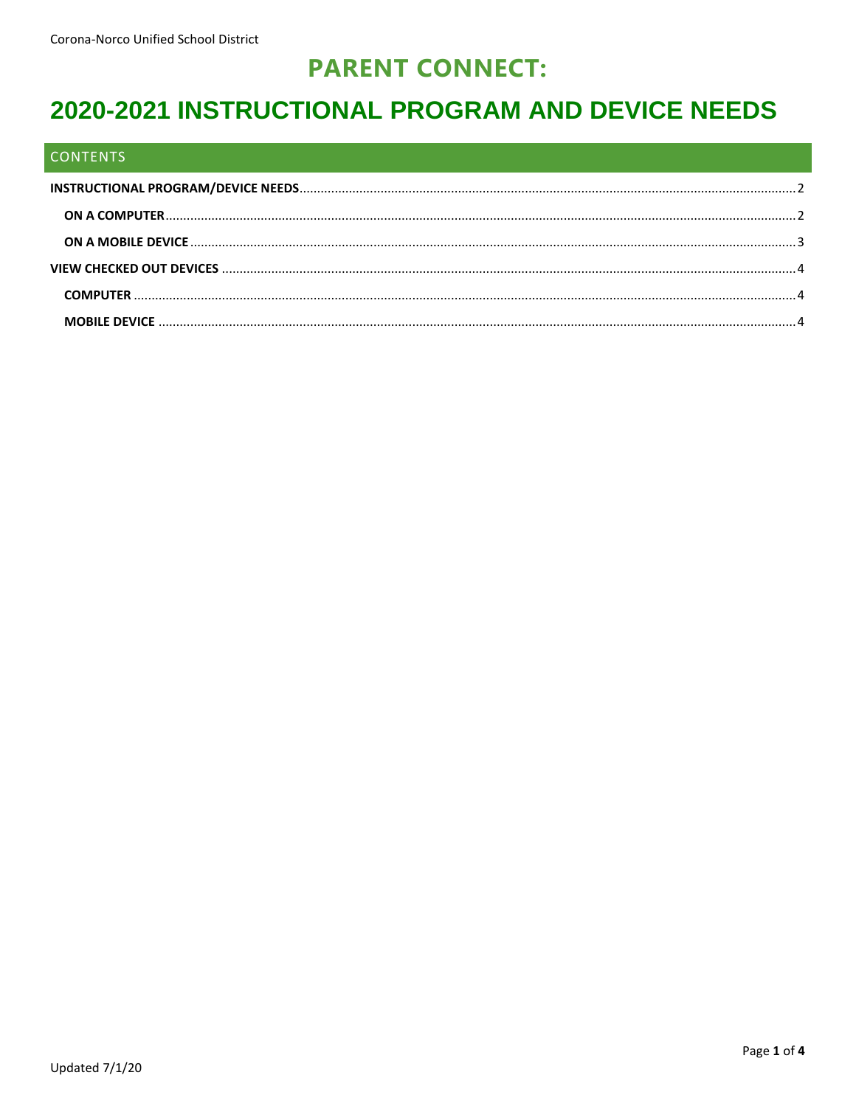## **PARENT CONNECT:**

# 2020-2021 INSTRUCTIONAL PROGRAM AND DEVICE NEEDS

#### **CONTENTS**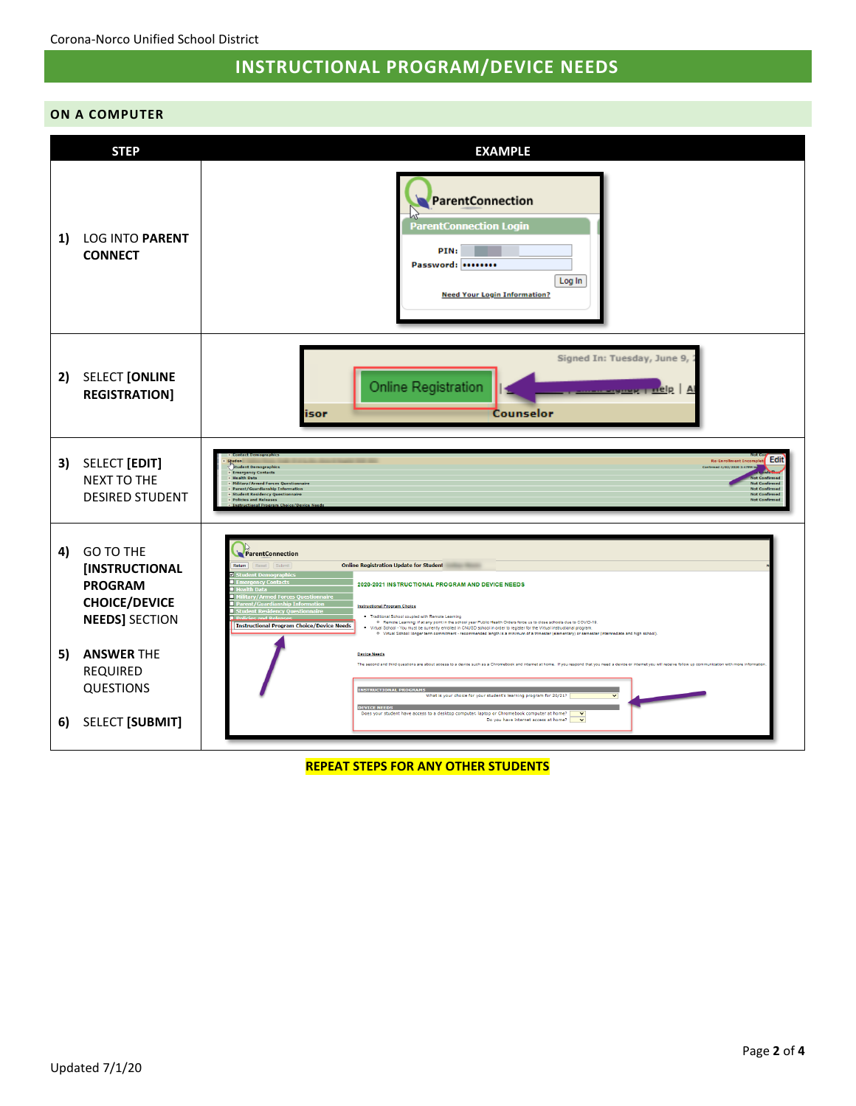## **INSTRUCTIONAL PROGRAM/DEVICE NEEDS**

#### <span id="page-1-1"></span><span id="page-1-0"></span>**ON A COMPUTER**

|                | <b>STEP</b>                                                                                                                                                                                 | <b>EXAMPLE</b>                                                                                                                                                                                                                                                                                                                                                                                                                                                                                                                                                                                                                                                                                                                                                                                                                                                                                                                                                                                                                                                                                                                                                                                                                                                                                          |  |
|----------------|---------------------------------------------------------------------------------------------------------------------------------------------------------------------------------------------|---------------------------------------------------------------------------------------------------------------------------------------------------------------------------------------------------------------------------------------------------------------------------------------------------------------------------------------------------------------------------------------------------------------------------------------------------------------------------------------------------------------------------------------------------------------------------------------------------------------------------------------------------------------------------------------------------------------------------------------------------------------------------------------------------------------------------------------------------------------------------------------------------------------------------------------------------------------------------------------------------------------------------------------------------------------------------------------------------------------------------------------------------------------------------------------------------------------------------------------------------------------------------------------------------------|--|
| 1)             | <b>LOG INTO PARENT</b><br><b>CONNECT</b>                                                                                                                                                    | ParentConnection<br><b>ParentConnection Login</b><br>PIN:<br>Password:<br>Log In<br><b>Need Your Login Information?</b>                                                                                                                                                                                                                                                                                                                                                                                                                                                                                                                                                                                                                                                                                                                                                                                                                                                                                                                                                                                                                                                                                                                                                                                 |  |
| 2)             | <b>SELECT [ONLINE</b><br><b>REGISTRATION]</b>                                                                                                                                               | Signed In: Tuesday, June 9,<br>Online Registration<br>nelp  <br>Counselor<br>isor                                                                                                                                                                                                                                                                                                                                                                                                                                                                                                                                                                                                                                                                                                                                                                                                                                                                                                                                                                                                                                                                                                                                                                                                                       |  |
|                | 3) SELECT [EDIT]<br><b>NEXT TO THE</b><br><b>DESIRED STUDENT</b>                                                                                                                            | Edit<br><b>Be-Enrollment Inc.</b><br><b>Student Demographics</b><br>Confirmed 4/02/2020 3:47PM<br><b>Emergency Contacts</b><br><b>Health Data</b><br><b>Military/Armed Forces Questionnaire</b><br><b>Not Confirmer</b><br>Parent/Guardianship Information<br><b>Student Residency Questionnaire</b><br><b>Not Confirmed</b><br><b>Policies and Releases</b><br>inal Proc                                                                                                                                                                                                                                                                                                                                                                                                                                                                                                                                                                                                                                                                                                                                                                                                                                                                                                                               |  |
| 4)<br>5)<br>6) | <b>GO TO THE</b><br>[INSTRUCTIONAL<br><b>PROGRAM</b><br><b>CHOICE/DEVICE</b><br><b>NEEDS] SECTION</b><br><b>ANSWER THE</b><br><b>REQUIRED</b><br><b>QUESTIONS</b><br><b>SELECT [SUBMIT]</b> | ParentConnection<br><b>Online Registration Update for Student</b><br>Return<br>Reset Submit<br>2020-2021 INSTRUCTIONAL PROGRAM AND DEVICE NEEDS<br>d Forces (<br>ary/Arm<br><b>Instructional Program Choice</b><br>ncy Questi<br>. Traditional School coupled with Remote Learning<br>o Remote Learning: if at any point in the school year Public Health Orders force us to close schools due to COVID-19.<br><b>Instructional Program Choice/Device Needs</b><br>. Virtual School - You must be currently enrolled in CNUSD school in order to register for the Virtual instructional program.<br><sup>0</sup> Virtual School: longer term commitment - recommended length is a minimum of a trimester (elementary) or semester (intermediate and high school)<br><b>Device Needs</b><br>The second and third questions are about access to a device such as a Chromebook and internet at home. If you respond that you need a device or internet you will receive follow up communication with more information<br><b>INSTRUCTIONAL PROGRAMS</b><br>What is your choice for your student's learning program for 20/21?<br>$\checkmark$<br><b>DEVICE NEEDS</b><br>Does your student have access to a desktop computer, laptop or Chromebook computer at home?<br>Do you have internet access at home? |  |
|                |                                                                                                                                                                                             |                                                                                                                                                                                                                                                                                                                                                                                                                                                                                                                                                                                                                                                                                                                                                                                                                                                                                                                                                                                                                                                                                                                                                                                                                                                                                                         |  |

**REPEAT STEPS FOR ANY OTHER STUDENTS**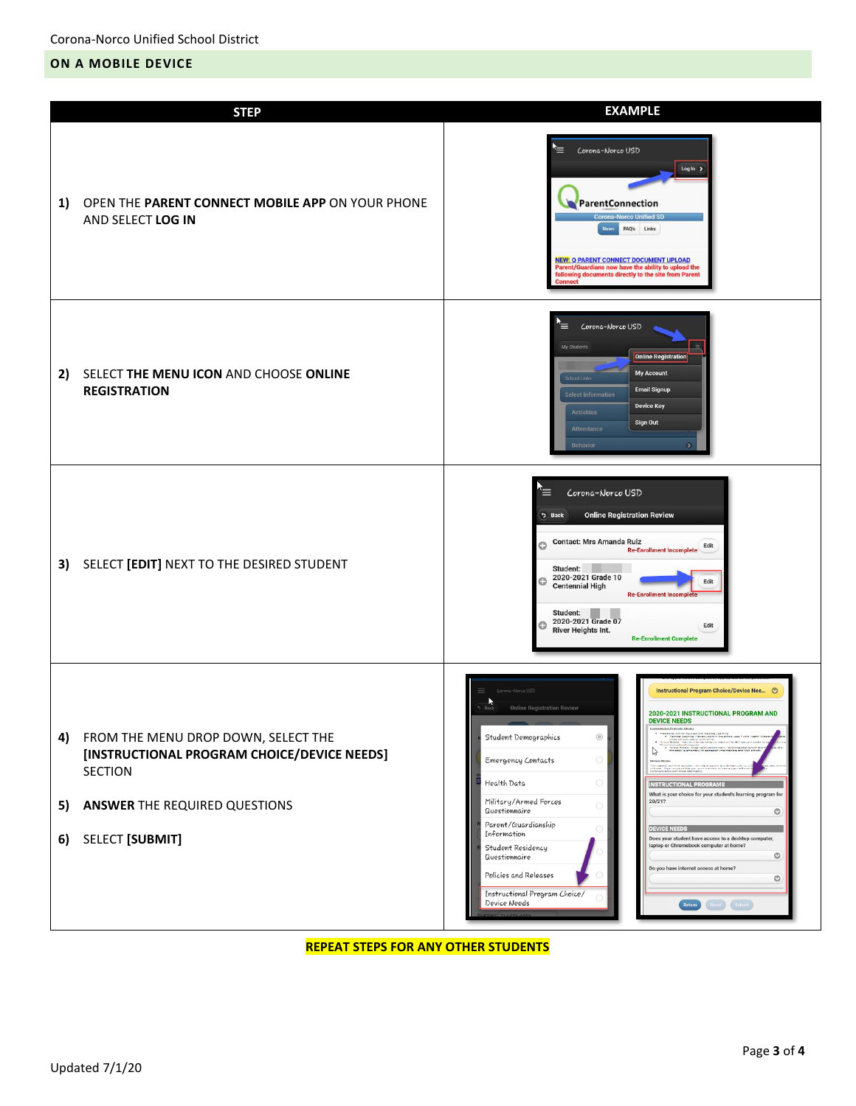#### <span id="page-2-0"></span>**ON A MOBILE DEVICE**

|                | <b>STEP</b>                                                                                                                                                            | <b>EXAMPLE</b>                                                                                                                                                                                                                                                                                                                                                                                                                                                                                                                                                                                                                                                                                                                                                                                                                                                                                                                                                                                                     |
|----------------|------------------------------------------------------------------------------------------------------------------------------------------------------------------------|--------------------------------------------------------------------------------------------------------------------------------------------------------------------------------------------------------------------------------------------------------------------------------------------------------------------------------------------------------------------------------------------------------------------------------------------------------------------------------------------------------------------------------------------------------------------------------------------------------------------------------------------------------------------------------------------------------------------------------------------------------------------------------------------------------------------------------------------------------------------------------------------------------------------------------------------------------------------------------------------------------------------|
| 1)             | OPEN THE PARENT CONNECT MOBILE APP ON YOUR PHONE<br>AND SELECT LOG IN                                                                                                  | '≡<br>Corona-Norco USD<br>Log In $\rightarrow$<br>ParentConnection<br>rona-Norco Unified SD<br>FAQ's Links<br><b>NEW: Q PARENT CONNECT DOCUMENT UPLOAD</b><br>Parent/Guardians now have the ability to upload the<br>following documents directly to the site from Parent<br>Connect                                                                                                                                                                                                                                                                                                                                                                                                                                                                                                                                                                                                                                                                                                                               |
| 2)             | SELECT THE MENU ICON AND CHOOSE ONLINE<br><b>REGISTRATION</b>                                                                                                          | `≡<br>Corona-Norco USD<br>My Students<br><b>Online Registration</b><br><b>My Account</b><br>School Links<br><b>Email Signup</b><br><b>Select Information</b><br><b>Device Key</b><br><b>Activities</b><br>Sign Out<br>Attendance<br><b>Behavior</b><br>۰,                                                                                                                                                                                                                                                                                                                                                                                                                                                                                                                                                                                                                                                                                                                                                          |
|                | 3) SELECT [EDIT] NEXT TO THE DESIRED STUDENT                                                                                                                           | Corona-Norco USD<br>⋿<br><b>Online Registration Review</b><br><b>う Back</b><br><b>Contact: Mrs Amanda Ruiz</b><br>O<br>Edit<br><b>Re-Enrollment Incomplete</b><br>Student:<br>2020-2021 Grade 10<br>o<br>Edit<br><b>Centennial High</b><br><b>Re-Enrollment Incomplete</b><br>Student:<br>2020-2021 Grade 07<br>o<br>Edit<br><b>River Heights Int.</b><br><b>Re-Enrollment Complete</b>                                                                                                                                                                                                                                                                                                                                                                                                                                                                                                                                                                                                                            |
| 4)<br>5)<br>6) | FROM THE MENU DROP DOWN, SELECT THE<br>[INSTRUCTIONAL PROGRAM CHOICE/DEVICE NEEDS]<br><b>SECTION</b><br><b>ANSWER THE REQUIRED QUESTIONS</b><br><b>SELECT [SUBMIT]</b> | Instructional Program Choice/Device Nee ©<br>Corona-Morco USD<br>$\frac{1}{\text{Back}}$<br><b>Online Registration Review</b><br>2020-2021 INSTRUCTIONAL PROGRAM AND<br><b>DEVICE NEEDS</b><br>$\circledcirc$<br>Traditional Consol coupled with Remote Learning<br>Plantede Learning IV is the stylen in the adhest year Public<br>code schools due to tothniums<br>Student Demographics<br>$\triangleright$<br>$\bigcirc$<br>Emergency Contacts<br>$\bigcirc$<br>Health Data<br><b>INSTRUCTIONAL PROGRAMS</b><br>What is your choice for your student's learning program for<br>Military/Armed Forces<br>20/21?<br>$\bigcirc$<br>Questionnaire<br>$\circ$<br>Parent/Guardianship<br><b>DEVICE NEEDS</b><br>Information<br>Does your student have access to a desktop computer,<br>laptop or Chromebook computer at home?<br>Student Residency<br>$\circ$<br>Questionnaire<br>Do you have internet access at home?<br>Policies and Releases<br>$\circ$<br>Instructional Program Choice/<br>Device Needs<br>Return |

**REPEAT STEPS FOR ANY OTHER STUDENTS**